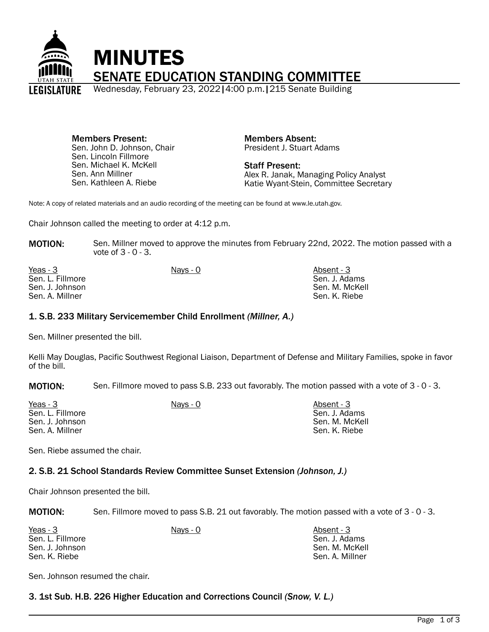

Members Present: Sen. John D. Johnson, Chair Sen. Lincoln Fillmore Sen. Michael K. McKell Sen. Ann Millner Sen. Kathleen A. Riebe

Members Absent: President J. Stuart Adams

Staff Present: Alex R. Janak, Managing Policy Analyst Katie Wyant-Stein, Committee Secretary

Note: A copy of related materials and an audio recording of the meeting can be found at www.le.utah.gov.

Chair Johnson called the meeting to order at 4:12 p.m.

**MOTION:** Sen. Millner moved to approve the minutes from February 22nd, 2022. The motion passed with a vote of 3 - 0 - 3.

| Yeas - 3         | Navs - 0 | Absent - 3     |
|------------------|----------|----------------|
| Sen. L. Fillmore |          | Sen. J. Adams  |
| Sen. J. Johnson  |          | Sen. M. McKell |
| Sen. A. Millner  |          | Sen. K. Riebe  |
|                  |          |                |

### 1. S.B. 233 Military Servicemember Child Enrollment *(Millner, A.)*

Sen. Millner presented the bill.

Kelli May Douglas, Pacific Southwest Regional Liaison, Department of Defense and Military Families, spoke in favor of the bill.

MOTION: Sen. Fillmore moved to pass S.B. 233 out favorably. The motion passed with a vote of 3 - 0 - 3.

| Yeas - 3         | <u>Nays - 0</u> | Absent - 3     |
|------------------|-----------------|----------------|
| Sen. L. Fillmore |                 | Sen. J. Adams  |
| Sen. J. Johnson  |                 | Sen. M. McKell |
| Sen. A. Millner  |                 | Sen. K. Riebe  |

Sen. Riebe assumed the chair.

### 2. S.B. 21 School Standards Review Committee Sunset Extension *(Johnson, J.)*

Chair Johnson presented the bill.

MOTION: Sen. Fillmore moved to pass S.B. 21 out favorably. The motion passed with a vote of 3 - 0 - 3.

| Yeas - 3         | Nays - 0 | Absent - 3      |
|------------------|----------|-----------------|
| Sen. L. Fillmore |          | Sen. J. Adams   |
| Sen. J. Johnson  |          | Sen. M. McKell  |
| Sen. K. Riebe    |          | Sen. A. Millner |

Sen. Johnson resumed the chair.

3. 1st Sub. H.B. 226 Higher Education and Corrections Council *(Snow, V. L.)*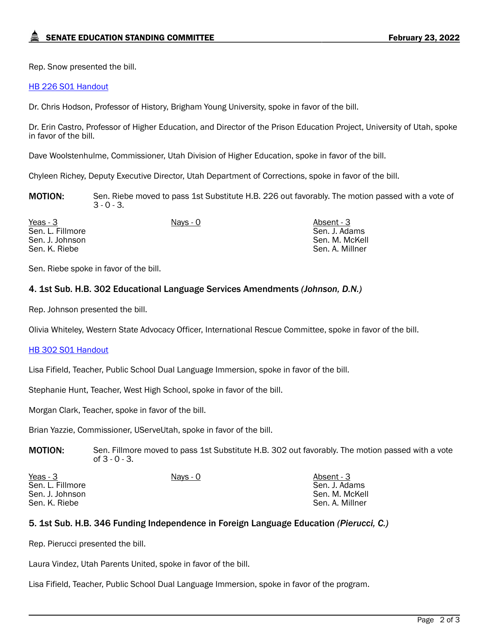Rep. Snow presented the bill.

### [HB 226 S01 Handout](https://le.utah.gov/interim/2022/pdf/00001916.pdf)

Dr. Chris Hodson, Professor of History, Brigham Young University, spoke in favor of the bill.

Dr. Erin Castro, Professor of Higher Education, and Director of the Prison Education Project, University of Utah, spoke in favor of the bill.

Dave Woolstenhulme, Commissioner, Utah Division of Higher Education, spoke in favor of the bill.

Chyleen Richey, Deputy Executive Director, Utah Department of Corrections, spoke in favor of the bill.

**MOTION:** Sen. Riebe moved to pass 1st Substitute H.B. 226 out favorably. The motion passed with a vote of  $3 - 0 - 3$ .

Yeas - 3 Nays - 0 Absent - 3 Sen. L. Fillmore Sen. J. Johnson Sen. K. Riebe

Sen. J. Adams Sen. M. McKell Sen. A. Millner

Sen. Riebe spoke in favor of the bill.

# 4. 1st Sub. H.B. 302 Educational Language Services Amendments *(Johnson, D.N.)*

Rep. Johnson presented the bill.

Olivia Whiteley, Western State Advocacy Officer, International Rescue Committee, spoke in favor of the bill.

### [HB 302 S01 Handout](https://le.utah.gov/interim/2022/pdf/00001917.pdf)

Lisa Fifield, Teacher, Public School Dual Language Immersion, spoke in favor of the bill.

Stephanie Hunt, Teacher, West High School, spoke in favor of the bill.

Morgan Clark, Teacher, spoke in favor of the bill.

Brian Yazzie, Commissioner, UServeUtah, spoke in favor of the bill.

**MOTION:** Sen. Fillmore moved to pass 1st Substitute H.B. 302 out favorably. The motion passed with a vote of 3 - 0 - 3.

| Yeas - 3         | Nays - 0 | Absent - 3      |
|------------------|----------|-----------------|
| Sen. L. Fillmore |          | Sen. J. Adams   |
| Sen. J. Johnson  |          | Sen. M. McKell  |
| Sen. K. Riebe    |          | Sen. A. Millner |

## 5. 1st Sub. H.B. 346 Funding Independence in Foreign Language Education *(Pierucci, C.)*

Rep. Pierucci presented the bill.

Laura Vindez, Utah Parents United, spoke in favor of the bill.

Lisa Fifield, Teacher, Public School Dual Language Immersion, spoke in favor of the program.